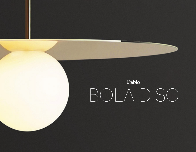# Pablo® BOLA DISC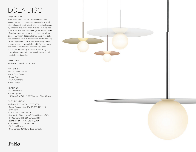# BOLA DISC

### **DESCRIPTION**

Bola Disc is a uniquely expressive LED Pendant system featuring a distinctive range of chromated disc reflectors that give the illusion of weightlessness by mirroring its surroundings. Available in 4 distinct sizes, Bola Disc pairs an elegant globe diffusor made of opaline glass with exquisitely polished stainless steel or aluminum discs in chrome, brass, rose gold and lacquered white to appease the most discerning tastes. Dependent on size, Bola provides up to 1550 lumens of warm ambient light and is fully dimmable, providing unparalleled illumination. Bola can be suspended individually, in series, or as striking chandelier groupings for residential, contract, and hospitality settings alike.

### DESIGNER

Pablo Pardo + Pablo Studio 2018

### MATERIALS

- Aluminum or SS Disc
- Opal Glass Globe
- Fabric Cord
- Aluminum Stem
- Steel Canopy

### FEATURES

- Fully Dimmable
- Shade Options: 12"(30cm), 18"(46cm), 22"(56cm), 32"(81cm) Discs

### SPECIFICATIONS

- Voltage: 120V, 240V, or 277V 50/60Hz
- Power Consumption: 8W (12", 18"), 15W (22"), 20W (32")
- Color Temperature: 2700K
- Luminosity: 560 Lumens (12"), 640 Lumens (18"), 1160 Lumens (22"), 1550 Lumens (32")
- Luminaire efficacy: 57 Lumens/Watt
- Color Rendition Index: 95 CRI
- 50K hour lifespan
- Cord Length: 8.9' (2.7m) (Field cuttable)



# Pablo®